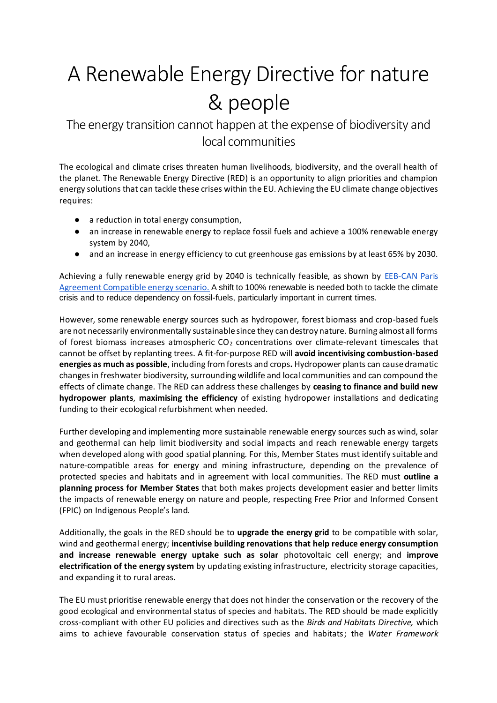## A Renewable Energy Directive for nature & people

The energy transition cannot happen at the expense of biodiversity and local communities

The ecological and climate crises threaten human livelihoods, biodiversity, and the overall health of the planet. The Renewable Energy Directive (RED) is an opportunity to align priorities and champion energy solutions that can tackle these crises within the EU. Achieving the EU climate change objectives requires:

- a reduction in total energy consumption,
- an increase in renewable energy to replace fossil fuels and achieve a 100% renewable energy system by 2040,
- and an increase in energy efficiency to cut greenhouse gas emissions by at least 65% by 2030.

Achieving a fully renewable energy grid by 2040 is technically feasible, as shown by **EEB-CAN** Paris [Agreement Compatible](https://eeb.org/library/building-a-paris-agreement-compatible-pac-energy-scenario/) energy scenario. A shift to 100% renewable is needed both to tackle the climate crisis and to reduce dependency on fossil-fuels, particularly important in current times.

However, some renewable energy sources such as hydropower, forest biomass and crop-based fuels are not necessarily environmentally sustainable since they can destroy nature. Burning almost all forms of forest biomass increases atmospheric  $CO<sub>2</sub>$  concentrations over climate-relevant timescales that cannot be offset by replanting trees. A fit-for-purpose RED will **avoid incentivising combustion-based energies as much as possible**, including from forests and crops**.** Hydropower plants can cause dramatic changes in freshwater biodiversity, surrounding wildlife and local communities and can compound the effects of climate change. The RED can address these challenges by **ceasing to finance and build new hydropower plants**, **maximising the efficiency** of existing hydropower installations and dedicating funding to their ecological refurbishment when needed.

Further developing and implementing more sustainable renewable energy sources such as wind, solar and geothermal can help limit biodiversity and social impacts and reach renewable energy targets when developed along with good spatial planning. For this, Member States must identify suitable and nature-compatible areas for energy and mining infrastructure, depending on the prevalence of protected species and habitats and in agreement with local communities. The RED must **outline a planning process for Member States** that both makes projects development easier and better limits the impacts of renewable energy on nature and people, respecting Free Prior and Informed Consent (FPIC) on Indigenous People's land.

Additionally, the goals in the RED should be to **upgrade the energy grid** to be compatible with solar, wind and geothermal energy; **incentivise building renovations that help reduce energy consumption and increase renewable energy uptake such as solar** photovoltaic cell energy; and **improve electrification of the energy system** by updating existing infrastructure, electricity storage capacities, and expanding it to rural areas.

The EU must prioritise renewable energy that does not hinder the conservation or the recovery of the good ecological and environmental status of species and habitats. The RED should be made explicitly cross-compliant with other EU policies and directives such as the *Birds and Habitats Directive,* which aims to achieve favourable conservation status of species and habitats; the *Water Framework*